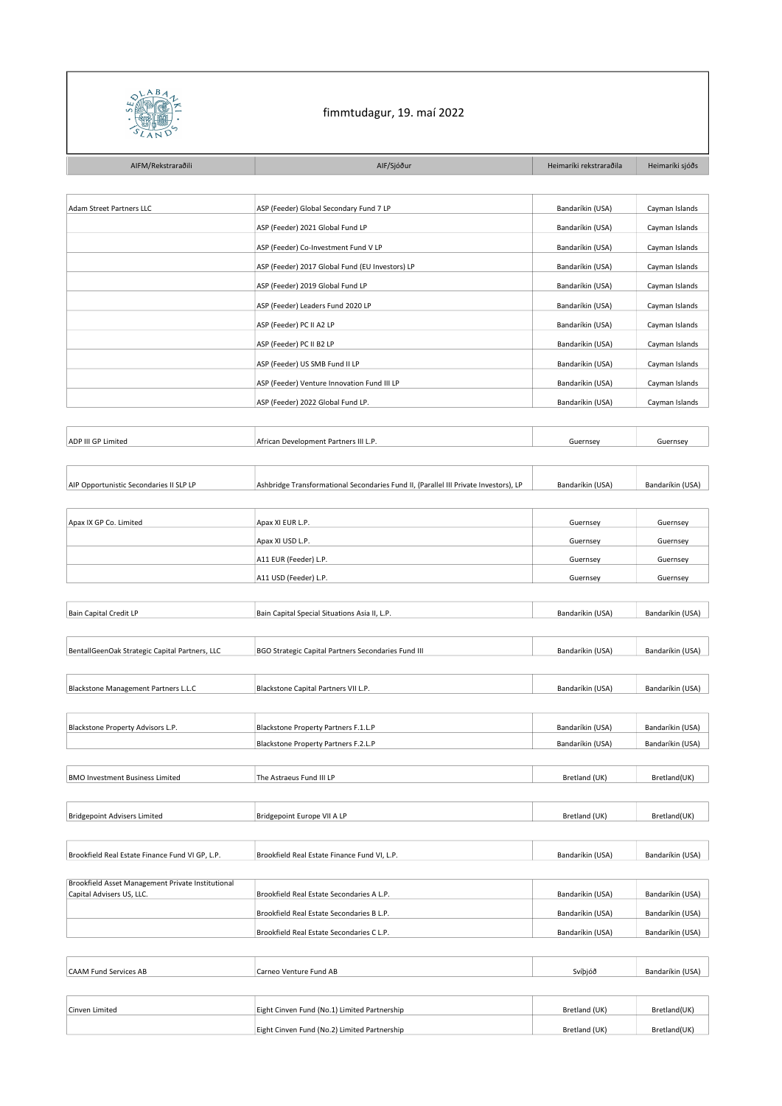

## fimmtudagur, 19. maí 2022

| AIFM/Rekstraraðili                                | AIF/Sjóður                                                                             | Heimaríki rekstraraðila | Heimaríki sjóðs  |
|---------------------------------------------------|----------------------------------------------------------------------------------------|-------------------------|------------------|
|                                                   |                                                                                        |                         |                  |
| Adam Street Partners LLC                          | ASP (Feeder) Global Secondary Fund 7 LP                                                | Bandaríkin (USA)        | Cayman Islands   |
|                                                   | ASP (Feeder) 2021 Global Fund LP                                                       | Bandaríkin (USA)        | Cayman Islands   |
|                                                   | ASP (Feeder) Co-Investment Fund V LP                                                   | Bandaríkin (USA)        | Cayman Islands   |
|                                                   | ASP (Feeder) 2017 Global Fund (EU Investors) LP                                        | Bandaríkin (USA)        | Cayman Islands   |
|                                                   | ASP (Feeder) 2019 Global Fund LP                                                       | Bandaríkin (USA)        | Cayman Islands   |
|                                                   | ASP (Feeder) Leaders Fund 2020 LP                                                      | Bandaríkin (USA)        | Cayman Islands   |
|                                                   | ASP (Feeder) PC II A2 LP                                                               | Bandaríkin (USA)        | Cayman Islands   |
|                                                   | ASP (Feeder) PC II B2 LP                                                               | Bandaríkin (USA)        | Cayman Islands   |
|                                                   | ASP (Feeder) US SMB Fund II LP                                                         | Bandaríkin (USA)        | Cayman Islands   |
|                                                   | ASP (Feeder) Venture Innovation Fund III LP                                            | Bandaríkin (USA)        | Cayman Islands   |
|                                                   | ASP (Feeder) 2022 Global Fund LP.                                                      | Bandaríkin (USA)        | Cayman Islands   |
|                                                   |                                                                                        |                         |                  |
| ADP III GP Limited                                | African Development Partners III L.P.                                                  | Guernsey                | Guernsey         |
|                                                   |                                                                                        |                         |                  |
|                                                   | Ashbridge Transformational Secondaries Fund II, (Parallel III Private Investors), LP   |                         |                  |
| AIP Opportunistic Secondaries II SLP LP           |                                                                                        | Bandaríkin (USA)        | Bandaríkin (USA) |
| Apax IX GP Co. Limited                            | Apax XI EUR L.P.                                                                       | Guernsey                | Guernsey         |
|                                                   | Apax XI USD L.P.                                                                       | Guernsey                | Guernsey         |
|                                                   | A11 EUR (Feeder) L.P.                                                                  | Guernsey                | Guernsey         |
|                                                   | A11 USD (Feeder) L.P.                                                                  | Guernsey                | Guernsey         |
|                                                   |                                                                                        |                         |                  |
| Bain Capital Credit LP                            | Bain Capital Special Situations Asia II, L.P.                                          | Bandaríkin (USA)        | Bandaríkin (USA) |
|                                                   |                                                                                        |                         |                  |
| BentallGeenOak Strategic Capital Partners, LLC    | BGO Strategic Capital Partners Secondaries Fund III                                    | Bandaríkin (USA)        | Bandaríkin (USA) |
|                                                   |                                                                                        |                         |                  |
| Blackstone Management Partners L.L.C              | Blackstone Capital Partners VII L.P.                                                   | Bandaríkin (USA)        | Bandaríkin (USA) |
|                                                   |                                                                                        |                         |                  |
| Blackstone Property Advisors L.P.                 | Blackstone Property Partners F.1.L.P                                                   | Bandaríkin (USA)        | Bandaríkin (USA) |
|                                                   | Blackstone Property Partners F.2.L.P                                                   | Bandaríkin (USA)        | Bandaríkin (USA) |
|                                                   |                                                                                        |                         |                  |
| <b>BMO Investment Business Limited</b>            | The Astraeus Fund III LP                                                               | Bretland (UK)           | Bretland(UK)     |
| <b>Bridgepoint Advisers Limited</b>               |                                                                                        |                         |                  |
|                                                   | Bridgepoint Europe VII A LP                                                            | Bretland (UK)           | Bretland(UK)     |
| Brookfield Real Estate Finance Fund VI GP, L.P.   | Brookfield Real Estate Finance Fund VI, L.P.                                           | Bandaríkin (USA)        | Bandaríkin (USA) |
|                                                   |                                                                                        |                         |                  |
| Brookfield Asset Management Private Institutional |                                                                                        |                         |                  |
| Capital Advisers US, LLC.                         | Brookfield Real Estate Secondaries A L.P.<br>Brookfield Real Estate Secondaries B L.P. | Bandaríkin (USA)        | Bandaríkin (USA) |
|                                                   |                                                                                        | Bandaríkin (USA)        | Bandaríkin (USA) |
|                                                   | Brookfield Real Estate Secondaries C L.P.                                              | Bandaríkin (USA)        | Bandaríkin (USA) |
|                                                   |                                                                                        |                         |                  |
| <b>CAAM Fund Services AB</b>                      | Carneo Venture Fund AB                                                                 | Svíþjóð                 | Bandaríkin (USA) |
|                                                   |                                                                                        |                         |                  |
| Cinven Limited                                    | Eight Cinven Fund (No.1) Limited Partnership                                           | Bretland (UK)           | Bretland(UK)     |

Eight Cinven Fund (No.2) Limited Partnership Bretland (UK) Bretland (UK) Bretland (UK) Bretland (UK)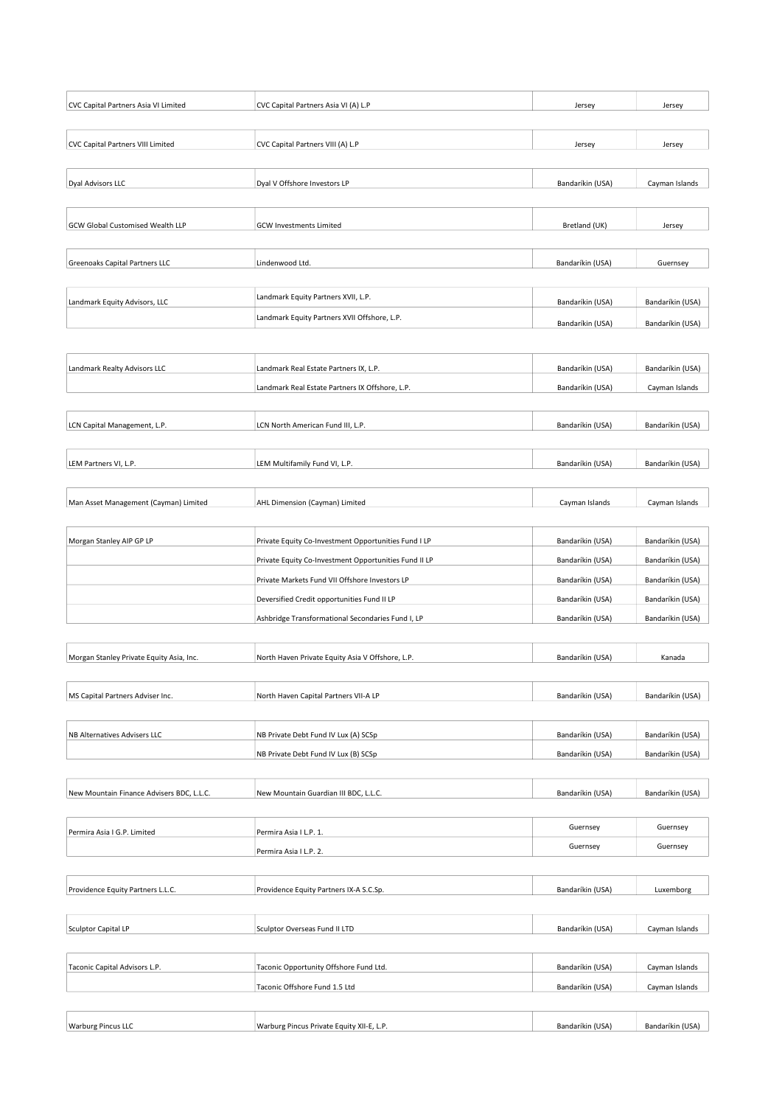| CVC Capital Partners Asia VI Limited      | CVC Capital Partners Asia VI (A) L.P                  | Jersey           | Jersey           |
|-------------------------------------------|-------------------------------------------------------|------------------|------------------|
| CVC Capital Partners VIII Limited         | CVC Capital Partners VIII (A) L.P                     | Jersey           | Jersey           |
| Dyal Advisors LLC                         | Dyal V Offshore Investors LP                          | Bandaríkin (USA) | Cayman Islands   |
| GCW Global Customised Wealth LLP          | <b>GCW Investments Limited</b>                        | Bretland (UK)    | Jersey           |
| Greenoaks Capital Partners LLC            | Lindenwood Ltd.                                       | Bandaríkin (USA) | Guernsey         |
| Landmark Equity Advisors, LLC             | Landmark Equity Partners XVII, L.P.                   | Bandaríkin (USA) | Bandaríkin (USA) |
|                                           | Landmark Equity Partners XVII Offshore, L.P.          | Bandaríkin (USA) | Bandaríkin (USA) |
| Landmark Realty Advisors LLC              | Landmark Real Estate Partners IX, L.P.                | Bandaríkin (USA) | Bandaríkin (USA) |
|                                           | Landmark Real Estate Partners IX Offshore, L.P.       | Bandaríkin (USA) | Cayman Islands   |
| LCN Capital Management, L.P.              | LCN North American Fund III, L.P.                     | Bandaríkin (USA) | Bandaríkin (USA) |
| LEM Partners VI, L.P.                     | LEM Multifamily Fund VI, L.P.                         | Bandaríkin (USA) | Bandaríkin (USA) |
| Man Asset Management (Cayman) Limited     | AHL Dimension (Cayman) Limited                        | Cayman Islands   | Cayman Islands   |
| Morgan Stanley AIP GP LP                  | Private Equity Co-Investment Opportunities Fund I LP  | Bandaríkin (USA) | Bandaríkin (USA) |
|                                           | Private Equity Co-Investment Opportunities Fund II LP | Bandaríkin (USA) | Bandaríkin (USA) |
|                                           | Private Markets Fund VII Offshore Investors LP        | Bandaríkin (USA) | Bandaríkin (USA) |
|                                           | Deversified Credit opportunities Fund II LP           | Bandaríkin (USA) | Bandaríkin (USA) |
|                                           | Ashbridge Transformational Secondaries Fund I, LP     | Bandaríkin (USA) | Bandaríkin (USA) |
| Morgan Stanley Private Equity Asia, Inc.  | North Haven Private Equity Asia V Offshore, L.P.      | Bandaríkin (USA) | Kanada           |
| MS Capital Partners Adviser Inc.          | North Haven Capital Partners VII-A LP                 | Bandaríkin (USA) | Bandaríkin (USA) |
| NB Alternatives Advisers LLC              | NB Private Debt Fund IV Lux (A) SCSp                  | Bandaríkin (USA) | Bandaríkin (USA) |
|                                           | NB Private Debt Fund IV Lux (B) SCSp                  | Bandaríkin (USA) | Bandaríkin (USA) |
| New Mountain Finance Advisers BDC, L.L.C. | New Mountain Guardian III BDC, L.L.C.                 | Bandaríkin (USA) | Bandaríkin (USA) |
|                                           |                                                       |                  |                  |
| Permira Asia I G.P. Limited               | Permira Asia I L.P. 1.                                | Guernsey         | Guernsey         |
|                                           | Permira Asia I L.P. 2.                                | Guernsey         | Guernsey         |
| Providence Equity Partners L.L.C.         | Providence Equity Partners IX-A S.C.Sp.               | Bandaríkin (USA) | Luxemborg        |
| Sculptor Capital LP                       | Sculptor Overseas Fund II LTD                         | Bandaríkin (USA) | Cayman Islands   |
| Taconic Capital Advisors L.P.             | Taconic Opportunity Offshore Fund Ltd.                | Bandaríkin (USA) | Cayman Islands   |
|                                           | Taconic Offshore Fund 1.5 Ltd                         | Bandaríkin (USA) | Cayman Islands   |
| <b>Warburg Pincus LLC</b>                 | Warburg Pincus Private Equity XII-E, L.P.             | Bandaríkin (USA) | Bandaríkin (USA) |